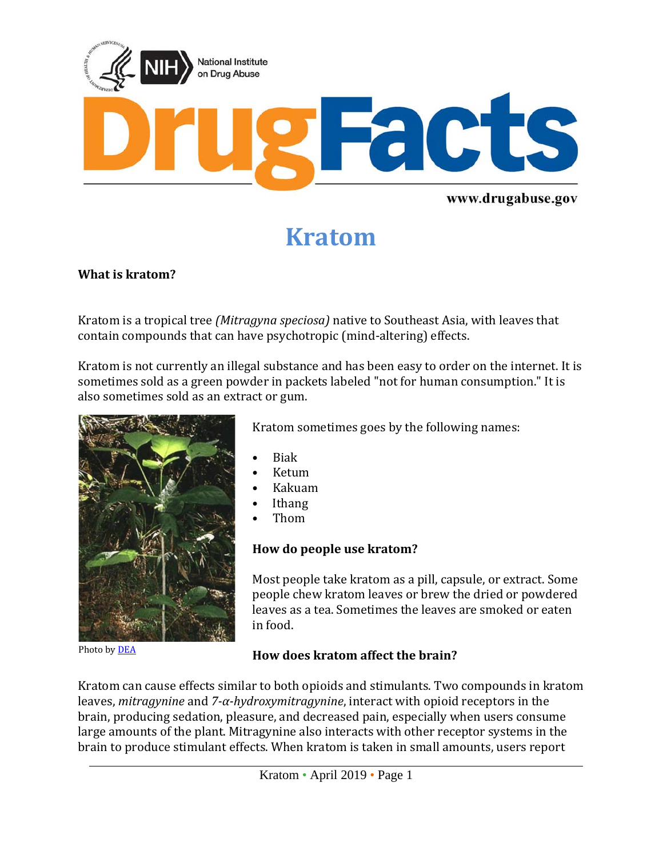

# **Kratom**

#### **What is kratom?**

Kratom is a tropical tree *(Mitragyna speciosa)* native to Southeast Asia, with leaves that contain compounds that can have psychotropic (mind-altering) effects.

Kratom is not currently an illegal substance and has been easy to order on the internet. It is sometimes sold as a green powder in packets labeled "not for human consumption." It is also sometimes sold as an extract or gum.



Kratom sometimes goes by the following names:

- Biak
- Ketum
- Kakuam
- **Ithang**
- Thom

#### **How do people use kratom?**

Most people take kratom as a pill, capsule, or extract. Some people chew kratom leaves or brew the dried or powdered leaves as a tea. Sometimes the leaves are smoked or eaten in food.

Photo by [DEA](http://www.dea.gov/pr/multimedia-library/publications/drug_of_abuse.pdf#page=84)

## **How does kratom affect the brain?**

Kratom can cause effects similar to both opioids and stimulants. Two compounds in kratom leaves, *mitragynine* and *7-α-hydroxymitragynine*, interact with opioid receptors in the brain, producing sedation, pleasure, and decreased pain, especially when users consume large amounts of the plant. Mitragynine also interacts with other receptor systems in the brain to produce stimulant effects. When kratom is taken in small amounts, users report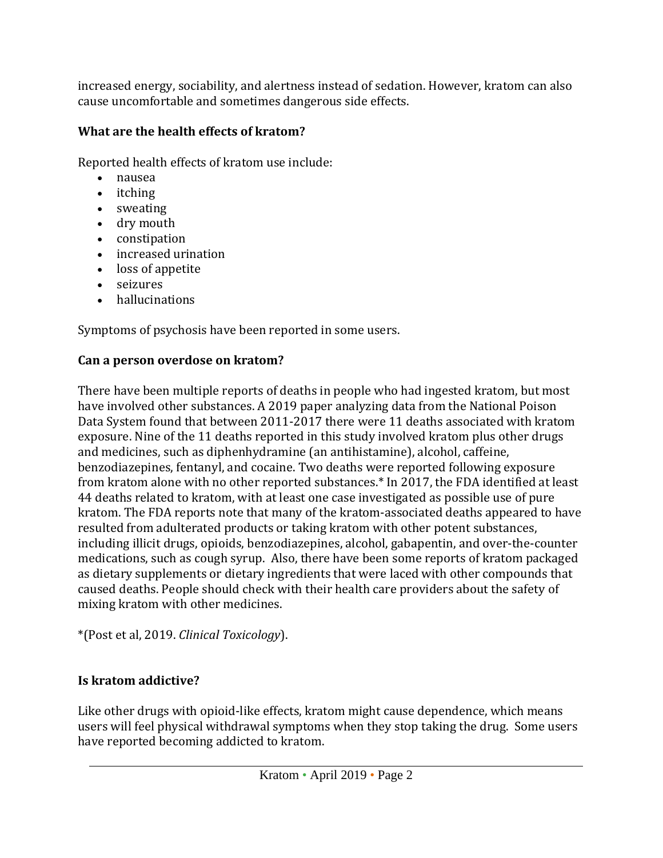increased energy, sociability, and alertness instead of sedation. However, kratom can also cause uncomfortable and sometimes dangerous side effects.

## **What are the health effects of kratom?**

Reported health effects of kratom use include:

- nausea
- itching
- sweating
- dry mouth
- constipation
- increased urination
- loss of appetite
- seizures
- hallucinations

Symptoms of psychosis have been reported in some users.

## **Can a person overdose on kratom?**

There have been multiple reports of deaths in people who had ingested kratom, but most have involved other substances. A 2019 paper analyzing data from the National Poison Data System found that between 2011-2017 there were 11 deaths associated with kratom exposure. Nine of the 11 deaths reported in this study involved kratom plus other drugs and medicines, such as diphenhydramine (an antihistamine), alcohol, caffeine, benzodiazepines, fentanyl, and cocaine. Two deaths were reported following exposure from kratom alone with no other reported substances.\* In 2017, the FDA identified at least 44 deaths related to kratom, with at least one case investigated as possible use of pure kratom. The FDA reports note that many of the kratom-associated deaths appeared to have resulted from adulterated products or taking kratom with other potent substances, including illicit drugs, opioids, benzodiazepines, alcohol, gabapentin, and over-the-counter medications, such as cough syrup. Also, there have been some reports of kratom packaged as dietary supplements or dietary ingredients that were laced with other compounds that caused deaths. People should check with their health care providers about the safety of mixing kratom with other medicines.

\*(Post et al, 2019. *Clinical Toxicology*).

## **Is kratom addictive?**

Like other drugs with opioid-like effects, kratom might cause dependence, which means users will feel physical withdrawal symptoms when they stop taking the drug. Some users have reported becoming addicted to kratom.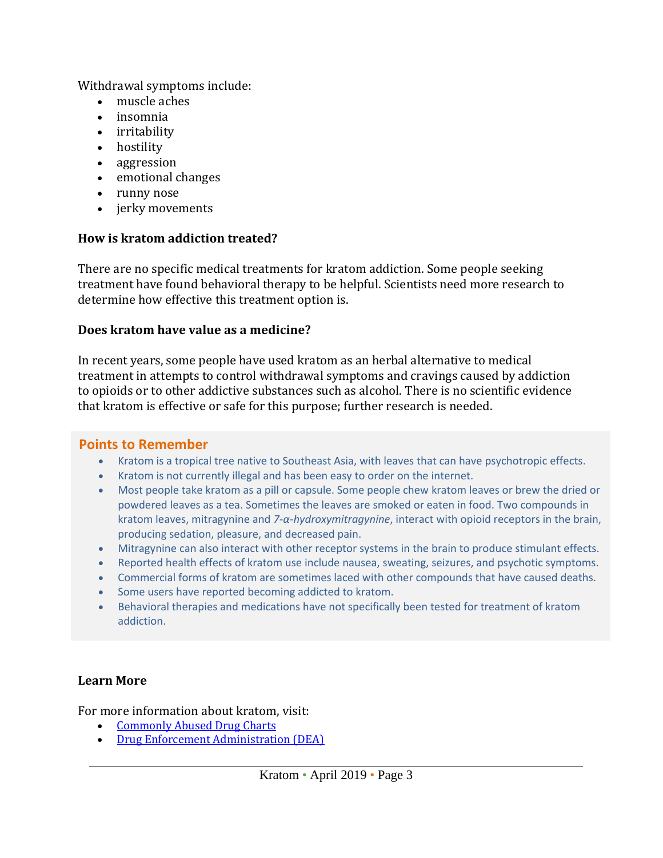Withdrawal symptoms include:

- muscle aches
- insomnia
- irritability
- hostility
- aggression
- emotional changes
- runny nose
- jerky movements

## **How is kratom addiction treated?**

There are no specific medical treatments for kratom addiction. Some people seeking treatment have found behavioral therapy to be helpful. Scientists need more research to determine how effective this treatment option is.

## **Does kratom have value as a medicine?**

In recent years, some people have used kratom as an herbal alternative to medical treatment in attempts to control withdrawal symptoms and cravings caused by addiction to opioids or to other addictive substances such as alcohol. There is no scientific evidence that kratom is effective or safe for this purpose; further research is needed.

## **Points to Remember**

- Kratom is a tropical tree native to Southeast Asia, with leaves that can have psychotropic effects.
- Kratom is not currently illegal and has been easy to order on the internet.
- Most people take kratom as a pill or capsule. Some people chew kratom leaves or brew the dried or powdered leaves as a tea. Sometimes the leaves are smoked or eaten in food. Two compounds in kratom leaves, mitragynine and *7-α-hydroxymitragynine*, interact with opioid receptors in the brain, producing sedation, pleasure, and decreased pain.
- Mitragynine can also interact with other receptor systems in the brain to produce stimulant effects.
- Reported health effects of kratom use include nausea, sweating, seizures, and psychotic symptoms.
- Commercial forms of kratom are sometimes laced with other compounds that have caused deaths.
- Some users have reported becoming addicted to kratom.
- Behavioral therapies and medications have not specifically been tested for treatment of kratom addiction.

## **Learn More**

For more information about kratom, visit:

- [Commonly Abused Drug Charts](https://www.drugabuse.gov/drugs-abuse/commonly-abused-drugs-charts)
- [Drug Enforcement Administration \(DEA\)](https://www.dea.gov/pr/multimedia-library/publications/drug_of_abuse.pdf)